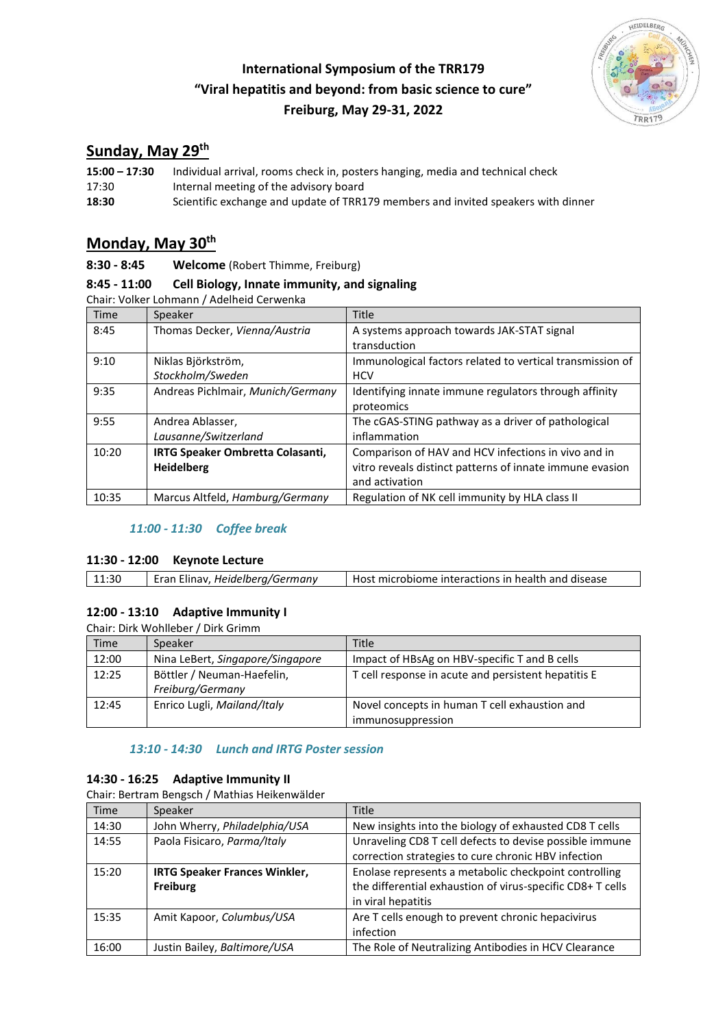# **International Symposium of the TRR179 "Viral hepatitis and beyond: from basic science to cure" Freiburg, May 29-31, 2022**



# **Sunday, May 29th**

| $15:00 - 17:30$ | Individual arrival, rooms check in, posters hanging, media and technical check    |  |
|-----------------|-----------------------------------------------------------------------------------|--|
| 17:30           | Internal meeting of the advisory board                                            |  |
| 18:30           | Scientific exchange and update of TRR179 members and invited speakers with dinner |  |

## **Monday, May 30th**

**8:30 - 8:45 Welcome** (Robert Thimme, Freiburg)

### **8:45 - 11:00 Cell Biology, Innate immunity, and signaling**

Chair: Volker Lohmann / Adelheid Cerwenka

| Time  | Speaker                           | <b>Title</b>                                              |
|-------|-----------------------------------|-----------------------------------------------------------|
| 8:45  | Thomas Decker, Vienna/Austria     | A systems approach towards JAK-STAT signal                |
|       |                                   | transduction                                              |
| 9:10  | Niklas Björkström,                | Immunological factors related to vertical transmission of |
|       | Stockholm/Sweden                  | <b>HCV</b>                                                |
| 9:35  | Andreas Pichlmair, Munich/Germany | Identifying innate immune regulators through affinity     |
|       |                                   | proteomics                                                |
| 9:55  | Andrea Ablasser,                  | The cGAS-STING pathway as a driver of pathological        |
|       | Lausanne/Switzerland              | inflammation                                              |
| 10:20 | IRTG Speaker Ombretta Colasanti,  | Comparison of HAV and HCV infections in vivo and in       |
|       | <b>Heidelberg</b>                 | vitro reveals distinct patterns of innate immune evasion  |
|       |                                   | and activation                                            |
| 10:35 | Marcus Altfeld, Hamburg/Germany   | Regulation of NK cell immunity by HLA class II            |

### *11:00 - 11:30 Coffee break*

#### **11:30 - 12:00 Keynote Lecture**

| Eran Elinav, Heidelberg/Germany<br>11:30<br>Host microbiome interactions in health and disease |
|------------------------------------------------------------------------------------------------|
|------------------------------------------------------------------------------------------------|

### **12:00 - 13:10 Adaptive Immunity I**

Chair: Dirk Wohlleber / Dirk Grimm

| Time  | Speaker                                        | Title                                                              |
|-------|------------------------------------------------|--------------------------------------------------------------------|
| 12:00 | Nina LeBert, Singapore/Singapore               | Impact of HBsAg on HBV-specific T and B cells                      |
| 12:25 | Böttler / Neuman-Haefelin,<br>Freiburg/Germany | T cell response in acute and persistent hepatitis E                |
| 12:45 | Enrico Lugli, Mailand/Italy                    | Novel concepts in human T cell exhaustion and<br>immunosuppression |

### *13:10 - 14:30 Lunch and IRTG Poster session*

### **14:30 - 16:25 Adaptive Immunity II**

Chair: Bertram Bengsch / Mathias Heikenwälder

| <b>Time</b> | Speaker                              | <b>Title</b>                                               |
|-------------|--------------------------------------|------------------------------------------------------------|
| 14:30       | John Wherry, Philadelphia/USA        | New insights into the biology of exhausted CD8 T cells     |
| 14:55       | Paola Fisicaro, Parma/Italy          | Unraveling CD8 T cell defects to devise possible immune    |
|             |                                      | correction strategies to cure chronic HBV infection        |
| 15:20       | <b>IRTG Speaker Frances Winkler,</b> | Enolase represents a metabolic checkpoint controlling      |
|             | Freiburg                             | the differential exhaustion of virus-specific CD8+ T cells |
|             |                                      | in viral hepatitis                                         |
| 15:35       | Amit Kapoor, Columbus/USA            | Are T cells enough to prevent chronic hepacivirus          |
|             |                                      | infection                                                  |
| 16:00       | Justin Bailey, Baltimore/USA         | The Role of Neutralizing Antibodies in HCV Clearance       |